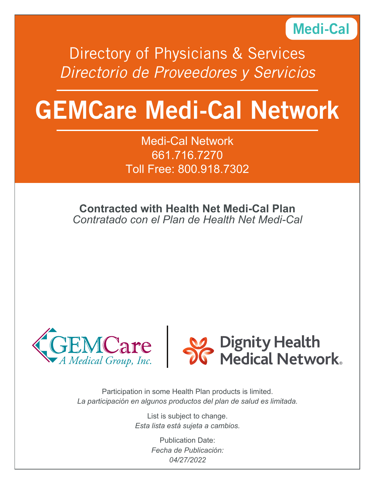

Directory of Physicians & Services *Directorio de Proveedores y Servicios*

# GEMCare Medi-Cal Network

Medi-Cal Network 661.716.7270 Toll Free: 800.918.7302

**Contracted with Health Net Medi-Cal Plan** *Contratado con el Plan de Health Net Medi-Cal* 





Participation in some Health Plan products is limited. *La participación en algunos productos del plan de salud es limitada.*

> List is subject to change. *Esta lista está sujeta a cambios.*

> > Publication Date: *Fecha de Publicación: 04/27/2022*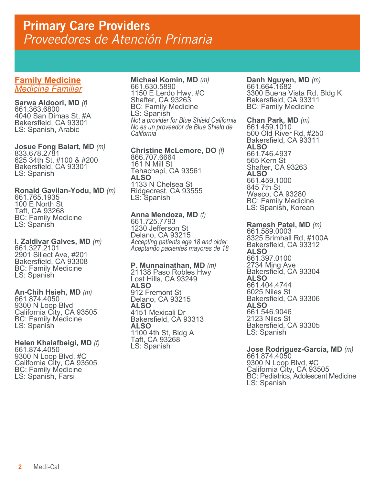## **Family Medicine** *Medicina Familiar*

**Sarwa Aldoori, MD** *(f)* 661.363.6800 4040 San Dimas St, #A Bakersfield, CA 93301 LS: Spanish, Arabic

**Josue Fong Balart, MD** *(m)* 833.678.2781 625 34th St, #100 & #200 Bakersfield, CA 93301 LS: Spanish

**Ronald Gavilan-Yodu, MD** *(m)* 661.765.1935 100 E North St Taft, CA 93268 BC: Family Medicine LS: Spanish

**I. Zaldivar Galves, MD** *(m)* 661.327.2101 2901 Sillect Ave, #201 Bakersfield, CA 93308 BC: Family Medicine LS: Spanish

**An-Chih Hsieh, MD** *(m)* 661.874.4050 9300 N Loop Blvd California City, CA 93505 BC: Family Medicine LS: Spanish

**Helen Khalafbeigi, MD** *(f)*<br>661.874.4050 9300 N Loop Blvd, #C California City, CA 93505 BC: Family Medicine LS: Spanish, Farsi

**Michael Komin, MD** *(m)* 661.630.5890 1150 E Lerdo Hwy, #C Shafter, CA 93263 BC: Family Medicine LS: Spanish *Not a provider for Blue Shield California No es un proveedor de Blue Shield de California*

**Christine McLemore, DO** *(f)* 866.707.6664 161 N Mill St Tehachapi, CA 93561 **ALSO** 1133 N Chelsea St Ridgecrest, CA 93555 LS: Spanish

## **Anna Mendoza, MD** *(f)* 661.725.7793

1230 Jefferson St Delano, CA 93215 *Accepting patients age 18 and older Aceptando pacientes mayores de 18* 

**P. Munnainathan, MD** *(m)* 21138 Paso Robles Hwy

Lost Hills, CA 93249 **ALSO** 912 Fremont St Delano, CA 93215 **ALSO** 4151 Mexicali Dr Bakersfield, CA 93313 **ALSO** 1100 4th St, Bldg A Taft, CA 93268 LS: Spanish

**Danh Nguyen, MD** *(m)* 661.664.1682 3300 Buena Vista Rd, Bldg K Bakersfield, CA 93311 BC: Family Medicine

**Chan Park, MD** *(m)*<br>661.459.1010 500 Old River Rd, #250 Bakersfield, CA 93311 **ALSO** 661.746.4937 565 Kern St Shafter, CA 93263 **ALSO** 661.459.1000 845 7th St Wasco, CA 93280 BC: Family Medicine LS: Spanish, Korean

**Ramesh Patel, MD** *(m)* 661.589.0003 8325 Brimhall Rd, #100A Bakersfield, CA 93312 **ALSO** 661.397.0100 2734 Ming Ave Bakersfield, CA 93304 **ALSO** 661.404.4744 6025 Niles St Bakersfield, CA 93306 **ALSO** 661.546.9046 2123 Niles St Bakersfield, CA 93305 LS: Spanish

**Jose Rodriguez-Garcia, MD** *(m)* 661.874.4050

9300 N Loop Blvd, #C California City, CA 93505 BC: Pediatrics, Adolescent Medicine LS: Spanish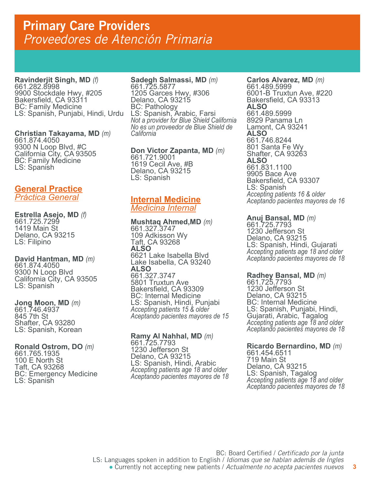**Ravinderjit Singh, MD** *(f)* 661.282.8998 9900 Stockdale Hwy, #205 Bakersfield, CA 93311 BC: Family Medicine LS: Spanish, Punjabi, Hindi, Urdu

**Christian Takayama, MD** *(m)* 661.874.4050 9300 N Loop Blvd, #C California City, CA 93505 BC: Family Médicine<br>LS: Spanish

## **General Practice** *Práctica General*

**Estrella Asejo, MD** *(f)* 661.725.7299 1419 Main St Delano, CA 93215 LS: Filipino

**David Hantman, MD** *(m)* 661.874.4050 9300 N Loop Blvd California City, CA 93505 LS: Spanish

**Jong Moon, MD** *(m)* 661.746.4937 845 7th St Shafter, CA 93280 LS: Spanish, Korean

**Ronald Ostrom, DO** *(m)* 661.765.1935 100 E North St Taft, CA 93268 BC: Emergency Medicine LS: Spanish

## **Sadegh Salmassi, MD** *(m)* 661.725.5877

1205 Garces Hwy, #306 Delano, CA 93215 BC: Pathology LS: Spanish, Arabic, Farsi *Not a provider for Blue Shield California No es un proveedor de Blue Shield de California*

**Don Victor Zapanta, MD** *(m)* 1619 Cecil Ave, #B Delano, CA 93215 LS: Spanish

## **Internal Medicine** *Medicina Internal*

**Mushtaq Ahmed,MD** *(m)* 661.327.3747 109 Adkisson Wy Taft, CA 93268 **ALSO** 6621 Lake Isabella Blvd Lake Isabella, CA 93240 **ALSO** 661.327.3747 5801 Truxtun Ave Bakersfield, CA 93309 BC: Internal Medicine LS: Spanish, Hindi, Punjabi *Accepting patients 15 & older Aceptando pacientes mayores de 15*

**Ramy Al Nahhal, MD** *(m)* 661.725.7793 1230 Jefferson St Delano, CA 93215 LS: Spanish, Hindi, Arabic *Accepting patients age 18 and older Aceptando pacientes mayores de 18*  **Carlos Alvarez, MD** *(m)* 661.489.5999 6001-B Truxtun Ave, #220 Bakersfield, CA 93313 **ALSO** 661.489.5999 8929 Panama Ln Lamont, CA 93241 **ALSO** 661.746.8244 801 Santa Fe Wy Shafter, CA 93263 **ALSO** 661.831.1100 9905 Bace Ave Bakersfield, CA 93307 LS: Spanish *Accepting patients 16 & older Aceptando pacientes mayores de 16*

**Anuj Bansal, MD** *(m)* 661.725.7793 1230 Jefferson St Delano, CA 93215 LS: Spanish, Hindi, Gujarati *Accepting patients age 18 and older Aceptando pacientes mayores de 18* 

## **Radhey Bansal, MD** *(m)* 661.725.7793

1230 Jefferson St Delano, CA 93215 BC: Internal Medicine LS: Spanish, Punjabi, Hindi, Gujarati, Arabic, Tagalog *Accepting patients age 18 and older Aceptando pacientes mayores de 18* 

## **Ricardo Bernardino, MD** *(m)*<br>661.454.6511

719 Main St Delano, CA 93215 LS: Spanish, Tagalog *Accepting patients age 18 and older Aceptando pacientes mayores de 18*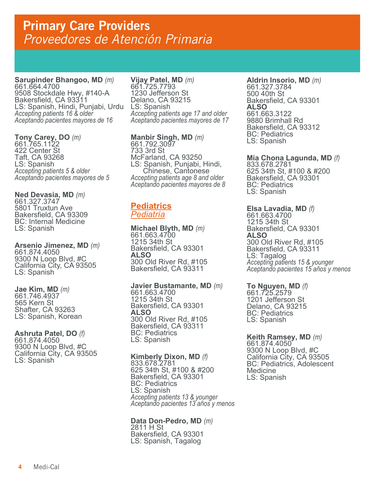**Sarupinder Bhangoo, MD** *(m)* 661.664.4700 9508 Stockdale Hwy, #140-A Bakersfield, CA 93311 LS: Spanish, Hindi, Punjabi, Urdu *Accepting patients 16 & older Aceptando pacientes mayores de 16*

**Tony Carey, DO** *(m)* 661.765.1122 422 Center St Taft, CA 93268 LS: Spanish *Accepting patients 5 & older Aceptando pacientes mayores de 5*

**Ned Devasia, MD** *(m)* 661.327.3747 5801 Truxtun Ave Bakersfield, CA 93309 BC: Internal Medicine LS: Spanish

**Arsenio Jimenez, MD** *(m)* 661.874.4050 9300 N Loop Blvd, #C California City, CA 93505 LS: Spanish

**Jae Kim, MD** *(m)* 661.746.4937 565 Kern St Shafter, CA 93263 LS: Spanish, Korean

**Ashruta Patel, DO** *(f)* 661.874.4050 9300 N Loop Blvd, #C California City, CA 93505 LS: Spanish

**Vijay Patel, MD** *(m)* 661.725.7793 1230 Jefferson St Delano, CA 93215 LS: Spanish *Accepting patients age 17 and older Aceptando pacientes mayores de 17* 

**Manbir Singh, MD** *(m)* 661.792.3097 733 3rd St McFarland, CA 93250 LS: Spanish, Punjabi, Hindi, Chinese, Cantonese *Accepting patients age 8 and older Aceptando pacientes mayores de 8* 

## **Pediatrics** *Pediatría*

**Michael Blyth, MD** *(m)* 661.663.4700 1215 34th St Bakersfield, CA 93301 **ALSO** 300 Old River Rd, #105 Bakersfield, CA 93311

**Javier Bustamante, MD** *(m)* 661.663.4700

1215 34th St Bakersfield, CA 93301 **ALSO** 300 Old River Rd, #105 Bakersfield, CA 93311 BC: Pediatrics LS: Spanish

**Kimberly Dixon, MD** *(f)* 833.678.2781 625 34th St, #100 & #200 Bakersfield, CA 93301 BC: Pediatrics LS: Spanish *Accepting patients 13 & younger Aceptando pacientes 13 años y menos* 

**Data Don-Pedro, MD** *(m)* 2811 H St Bakersfield, CA 93301 LS: Spanish, Tagalog

**Aldrin Insorio, MD** *(m)* 661.327.3784 500 40th St Bakersfield, CA 93301 **ALSO** 661.663.3122 9880 Brimhall Rd Bakersfield, CA 93312 BC: Pediatrics LS: Spanish

**Mia Chona Lagunda, MD** *(f)* 833.678.2781

625 34th St, #100 & #200 Bakersfield, CA 93301 BC: Pediatrics LS: Spanish

**Elsa Lavadia, MD** *(f)* 661.663.4700 1215 34th St Bakersfield, CA 93301 **ALSO** 300 Old River Rd, #105 Bakersfield, CA 93311 LS: Tagalog<br>Accepting patients 15 & younger *Accepting patients 15 & younger Aceptando pacientes 15 años y menos*

**To Nguyen, MD** *(f)* 661.725.2579 1201 Jefferson St Delano, CA 93215 BC: Pediatrics LS: Spanish

**Keith Ramsey, MD** *(m)* 661.874.4050 9300 N Loop Blvd, #C California City, CA 93505 BC: Pediatrics, Adolescent Medicine LS: Spanish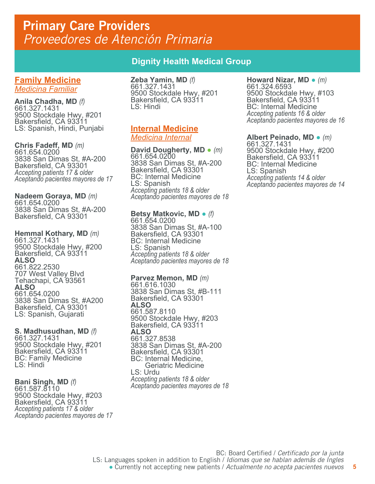**Family Medicine** *Medicina Familiar*

**Anila Chadha, MD** *(f)* 661.327.1431 9500 Stockdale Hwy, #201 Bakersfield, CA 93311 LS: Spanish, Hindi, Punjabi

**Chris Fadeff, MD** *(m)* 661.654.0200 3838 San Dimas St, #A-200 Bakersfield, CA 93301 *Accepting patients 17 & older Aceptando pacientes mayores de 17*

**Nadeem Goraya, MD** *(m)*<br>661.654.0200 3838 San Dimas St, #A-200 Bakersfield, CA 93301

**Hemmal Kothary, MD** *(m)* 661.327.1431 9500 Stockdale Hwy, #200 Bakersfield, CA 93311 **ALSO** 661.822.2530 707 West Valley Blvd Tehachapi, CA 93561 **ALSO** 661.654.0200 3838 San Dimas St, #A200 Bakersfield, CA 93301 LS: Spanish, Gujarati

## **S. Madhusudhan, MD** *(f)* 661.327.1431 9500 Stockdale Hwy, #201 Bakersfield, CA 93311

BC: Family Medicine LS: Hindi

## **Bani Singh, MD** *(f)* 661.587.8110

9500 Stockdale Hwy, #203 Bakersfield, CA 93311 *Accepting patients 17 & older Aceptando pacientes mayores de 17*

## **Dignity Health Medical Group**

**Zeba Yamin, MD** *(f)* 661.327.1431 9500 Stockdale Hwy, #201 Bakersfield, CA 93311 LS: Hindi

## **Internal Medicine** *Medicina Internal*

**David Dougherty, MD** ● *(m)* 661.654.0200 3838 San Dimas St, #A-200 Bakersfield, CA 93301 BC: Internal Medicine LS: Spanish *Accepting patients 18 & older Aceptando pacientes mayores de 18*

**Betsy Matkovic, MD** ● *(f)* 661.654.0200 3838 San Dimas St, #A-100 Bakersfield, CA 93301 BC: Internal Medicine LS: Spanish *Accepting patients 18 & older Aceptando pacientes mayores de 18*

## **Parvez Memon, MD** *(m)* 661.616.1030

3838 San Dimas St, #B-111 Bakersfield, CA 93301 **ALSO** 661.587.8110 9500 Stockdale Hwy, #203 Bakersfield, CA 93311 **ALSO** 661.327.8538 3838 San Dimas St, #A-200 Bakersfield, CA 93301 BC: Internal Medicine, Geriatric Medicine LS: Urdu *Accepting patients 18 & older Aceptando pacientes mayores de 18*

### **Howard Nizar, MD •** *(m)* 661.324.6593 9500 Stockdale Hwy, #103 Bakersfield, CA 93311 BC: Internal Medicine *Accepting patients 16 & older Aceptando pacientes mayores de 16*

**Albert Peinado, MD** ● *(m)* 661.327.1431 9500 Stockdale Hwy, #200 Bakersfield, CA 93311 BC: Internal Medicine LS: Spanish *Accepting patients 14 & older Aceptando pacientes mayores de 14*

**5**

<sup>●</sup> Currently not accepting new patients / *Actualmente no acepta pacientes nuevos*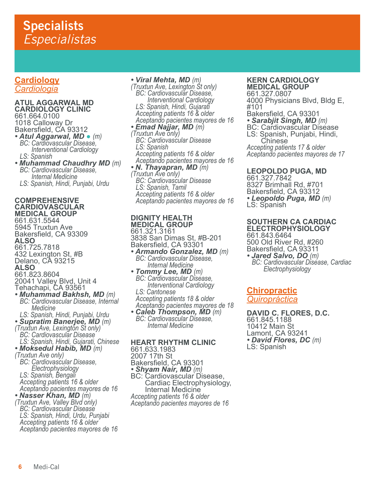## **Cardiology** *Cardiologia*

#### **ATUL AGGARWAL MD CARDIOLOGY CLINIC** 661.664.0100

1018 Calloway Dr Bakersfield, CA 93312

- *Atul Aggarwal, MD (m) BC: Cardiovascular Disease, Interventional Cardiology LS: Spanish*
- *Muhammad Chaudhry MD (m) BC: Cardiovascular Disease, Internal Medicine LS: Spanish, Hindi, Punjabi, Urdu*

### **COMPREHENSIVE CARDIOVASCULAR MEDICAL GROUP**

661.631.5544 5945 Truxtun Ave Bakersfield, CA 93309 **ALSO** 661.725.7818 432 Lexington St, #B Delano, CA 93215 **ALSO** 661.823.8604 20041 Valley Blvd, Unit 4 Tehachapi, CA 93561<br>• *Muhammad Bakhsh, MD (m*) *• Muhammad Bakhsh, MD (m) BC: Cardiovascular Disease, Internal Medicine*

 *LS: Spanish, Hindi, Punjabi, Urdu • Supratim Banerjee, MD (m) (Truxtun Ave, Lexington St only) BC: Cardiovascular Disease LS: Spanish, Hindi, Gujarati, Chinese • Moksedul Habib, MD (m) (Truxtun Ave only) BC: Cardiovascular Disease, Electrophysiology LS: Spanish, Bengali Accepting patients 16 & older Aceptando pacientes mayores de 16 • Nasser Khan, MD (m) (Truxtun Ave, Valley Blvd only)*

 *BC: Cardiovascular Disease LS: Spanish, Hindi, Urdu, Punjabi Accepting patients 16 & older Aceptando pacientes mayores de 16* *• Viral Mehta, MD (m) (Truxtun Ave, Lexington St only) BC: Cardiovascular Disease, Interventional Cardiology LS: Spanish, Hindi, Gujarati Accepting patients 16 & older Aceptando pacientes mayores de 16 • Emad Najjar, MD (m) (Truxtun Ave only) BC: Cardiovascular Disease LS: Spanish Accepting patients 16 & older Aceptando pacientes mayores de 16 • N. Thayapran, MD (m) (Truxtun Ave only) BC: Cardiovascular Disease*

 *LS: Spanish, Tamil Accepting patients 16 & older Aceptando pacientes mayores de 16*

#### **DIGNITY HEALTH MEDICAL GROUP** 661.321.3161

3838 San Dimas St, #B-201 Bakersfield, CA 93301 *• Armando Gonzalez, MD (m) BC: Cardiovascular Disease, Internal Medicine*

*<i>• BC: Cardiovascular Disease, Interventional Cardiology*<br>*LS: Cantonese Accepting patients 18 & older Aceptando pacientes mayores de 18*

*• Caleb Thompson, MD (m) BC: Cardiovascular Disease, Internal Medicine*

## **HEART RHYTHM CLINIC**

661.633.1983 2007 17th St Bakersfield, CA 93301<br>• *Shyam Nair, MD (m) • Shyam Nair, MD (m)* BC: Cardiovascular Disease, Cardiac Electrophysiology, Internal Medicine *Accepting patients 16 & older Aceptando pacientes mayores de 16* 

### **KERN CARDIOLOGY MEDICAL GROUP**

661.327.0807 4000 Physicians Blvd, Bldg E, #101 Bakersfield, CA 93301<br>• **Sarabjit Singh, MD** (m) **BC: Cardiovascular Disease** LS: Spanish, Punjabi, Hindi, Chinese *Accepting patients 17 & older Aceptando pacientes mayores de 17* 

## **LEOPOLDO PUGA, MD**

661.327.7842 8327 Brimhall Rd, #701 Bakersfield, CA 93312 *• Leopoldo Puga, MD (m)* LS: Spanish

#### **SOUTHERN CA CARDIAC ELECTROPHYSIOLOGY**

661.843.6464 500 Old River Rd, #260 Bakersfield, CA 93311<br>• **Jared Salvo, DO** (m)

*• Jared Salvo, DO (m) BC: Cardiovascular Disease, Cardiac Electrophysiology*

## **Chiropractic** *Quiropráctica*

**DAVID C. FLORES, D.C.** 661.845.1188 10412 Main St Lamont, CA 93241 *• David Flores, DC (m)* LS: Spanish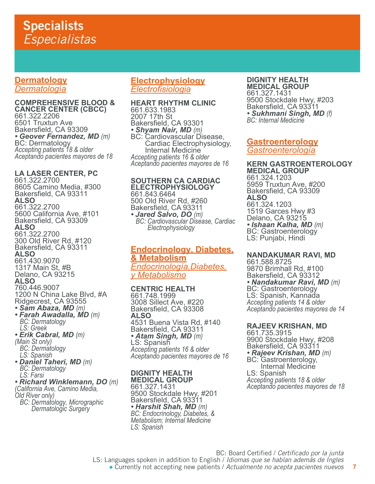## **Dermatology** *Dermatolog*í*a*

**COMPREHENSIVE BLOOD & CANCER CENTER (CBCC)** 661.322.2206 6501 Truxtun Ave Bakersfield, CA 93309<br>• Geover Fernandez, MD (m) • *Geover Fernandez, MD (m)*<br>BC: Dermatology *Accepting patients 18 & older Aceptando pacientes mayores de 18*

## **LA LASER CENTER, PC**

661.322.2700 8605 Camino Media, #300 Bakersfield, CA 93311 **ALSO** 661.322.2700 5600 California Ave, #101 Bakersfield, CA 93309 **ALSO** 661.322.2700 300 Old River Rd, #120 Bakersfield, CA 93311 **ALSO** 661.430.9070 1317 Main St, #B Delano, CA 93215 **ALSO** 760.446.9007 1200 N China Lake Blvd, #A Ridgecrest, CA 93555<br>• **Sam Abaza, MD** (m) **• Farah Awadalla, MD** *(m) LS: Greek • Erik Cabral, MD (m) (Main St only) BC: Dermatology LS: Spanish • Daniel Taheri, MD (m) BC: Dermatology LS: Farsi • Richard Winklemann, DO (m) (California Ave, Camino Media, Old River only) BC: Dermatology, Micrographic Dermatologic Surgery*

## **Electrophysiology** *Electrofisiologia*

#### **HEART RHYTHM CLINIC** 661.633.1983 2007 17th St Bakersfield, CA 93301<br>• *Shyam Nair, MD (m) • Shyam Nair, MD (m)* BC: Cardiovascular Disease, Cardiac Electrophysiology, Internal Medicine *Accepting patients 16 & older Aceptando pacientes mayores de 16*

**SOUTHERN CA CARDIAC ELECTROPHYSIOLOGY** 661.843.6464 500 Old River Rd, #260 Bakersfield, CA 93311<br>• Jared Salvo, DO (m) *• Jared Salvo, DO (m) BC: Cardiovascular Disease, Cardiac Electrophysiology*

## **Endocrinology, Diabetes, & Metabolism** *Endocrinología,Diabetes, y Metabolismo*

## **CENTRIC HEALTH**

661.748.1999 3008 Sillect Ave, #220 Bakersfield, CA 93308 **ALSO** 4531 Buena Vista Rd, #140 Bakersfield, CA 93311<br>• Atam Singh, MD (m) *• Atam Singh, MD (m)* LS: Spanish *Accepting patients 16 & older Aceptando pacientes mayores de 16* 

## **DIGNITY HEALTH**

**MEDICAL GROUP** 661.327.1431 9500 Stockdale Hwy, #201 Bakersfield, CA 93311 *• Harshit Shah, MD (m) BC: Endocrinology, Diabetes, & Metabolism; Internal Medicine LS: Spanish*

#### **DIGNITY HEALTH MEDICAL GROUP**

661.327.1431 9500 Stockdale Hwy, #203 Bakersfield, CA 93311 *• Sukhmani Singh, MD (f) BC: Internal Medicine*

## **Gastroenterology** *Gastroenterología*

**KERN GASTROENTEROLOGY MEDICAL GROUP** 661.324.1203 5959 Truxtun Ave, #200 Bakersfield, CA 93309 **ALSO** 661.324.1203 1519 Garces Hwy #3 Delano, CA 93215 *• Ishaan Kalha, MD (m)* BC: Gastroenterology LS: Punjabi, Hindi

**NANDAKUMAR RAVI, MD** 661.588.8725 9870 Brimhall Rd, #100 Bakersfield, CA 93312 *• Nandakumar Ravi, MD (m)*<br>BC: Gastroenterology LS: Spanish, Kannada *Accepting patients 14 & older Aceptando pacientes mayores de 14* 

## **RAJEEV KRISHAN, MD**

661.735.3915 9900 Stockdale Hwy, #208 Bakersfield, CA 93311 **• Rajeev Krishan, MD** (m)<br>BC: Gastroenterology,<br>Internal Medicine<br>LS: Spanish Accepting patients 18 & older *Aceptando pacientes mayores de 18*

BC: Board Certified / *Certificado por la junta*

LS: Languages spoken in addition to English / *Idiomas que se hablan además de Ingles*

<sup>●</sup> Currently not accepting new patients / *Actualmente no acepta pacientes nuevos*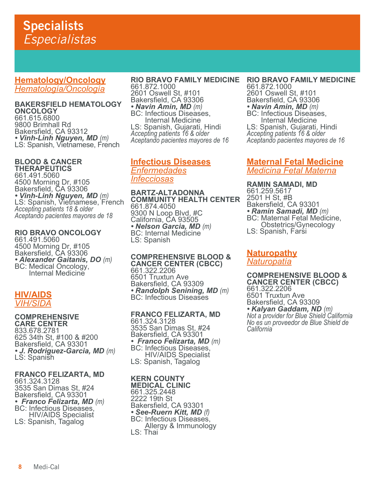**Hematology/Oncology** *Hematología/Oncología*

### **BAKERSFIELD HEMATOLOGY ONCOLOGY** 661.615.6800 9800 Brimhall Rd Bakersfield, CA 93312<br>• Vinh-Linh Nguyen, MD (m) LS: Spanish, Vietnamese, French

#### **BLOOD & CANCER THERAPEUTICS**

661.491.5060 4500 Morning Dr, #105 Bakersfield, CA 93306<br>• Vinh-Linh Nguyen, MD (m) LS: Spanish, Vietnamese, French<br>*Accepting patients 18 & older Aceptando pacientes mayores de 18*

#### **RIO BRAVO ONCOLOGY** 661.491.5060

4500 Morning Dr, #105 Bakersfield, CA 93306 • *Alexander Gaitanis, DO (m)*<br>BC: Medical Oncology, Internal Medicine

## **HIV/AIDS** *VIH/SIDA*

#### **COMPREHENSIVE CARE CENTER** 833.678.2781 625 34th St, #100 & #200 Bakersfield, CA 93301 *• J. Rodriguez-Garcia, MD (m)* LS: Spanish

### **FRANCO FELIZARTA, MD**

661.324.3128 3535 San Dimas St, #24 Bakersfield, CA 93301 *• Franco Felizarta, MD (m)* BC: Infectious Diseases, HIV/AIDS Specialist LS: Spanish, Tagalog

### **RIO BRAVO FAMILY MEDICINE**

661.872.1000 2601 Oswell St, #101 Bakersfield, CA 93306 *• Navin Amin, MD (m)* BC: Infectious Diseases, Internal Medicine LS: Spanish, Gujarati, Hindi *Accepting patients 16 & older Aceptando pacientes mayores de 16*

## **Infectious Diseases** *Enfermedades Infecciosas*

**BARTZ-ALTADONNA COMMUNITY HEALTH CENTER** 661.874.4050 9300 N Loop Blvd, #C California, CA 93505 • *Nelson Garcia, MD (m)*<br>BC: Internal Medicine LS: Spanish

**COMPREHENSIVE BLOOD & CANCER CENTER (CBCC)** 661.322.2206 6501 Truxtun Ave Bakersfield, CA 93309 • *Randolph Senining, MD (m)*<br>BC: Infectious Diseases

### **FRANCO FELIZARTA, MD** 661.324.3128 3535 San Dimas St, #24 Bakersfield, CA 93301<br>• Franco Felizarta, MD (m) *• Franco Felizarta, MD (m)* BC: Infectious Diseases, **HIV/AIDS** Specialist

LS: Spanish, Tagalog

## **KERN COUNTY**

**MEDICAL CLINIC** 661.325.2448 2222 19th St Bakersfield, CA 93301<br>• See-Ruern Kitt, MD (f) *• See-Ruern Kitt, MD (f)* BC: Infectious Diseases, Allergy & Immunology LS: Thai

**RIO BRAVO FAMILY MEDICINE** 661.872.1000 2601 Oswell St, #101

Bakersfield, CA 93306 *• Navin Amin, MD (m)* BC: Infectious Diseases,

 Internal Medicine LS: Spanish, Gujarati, Hindi *Accepting patients 16 & older Aceptando pacientes mayores de 16*

## **Maternal Fetal Medicine** *Medicina Fetal Materna*

**RAMIN SAMADI, MD** 661.259.5617 2501 H St, #B Bakersfield, CA 93301<br>• *Ramin Samadi, MD (m*) *• Ramin Samadi, MD (m)* BC: Maternal Fetal Medicine, Obstetrics/Gynecology LS: Spanish, Farsi

### **Naturopathy** *Naturopatía*

**COMPREHENSIVE BLOOD & CANCER CENTER (CBCC)** 661.322.2206 6501 Truxtun Ave Bakersfield, CA 93309 *• Kalyan Gaddam, ND (m) Not a provider for Blue Shield California No es un proveedor de Blue Shield de California*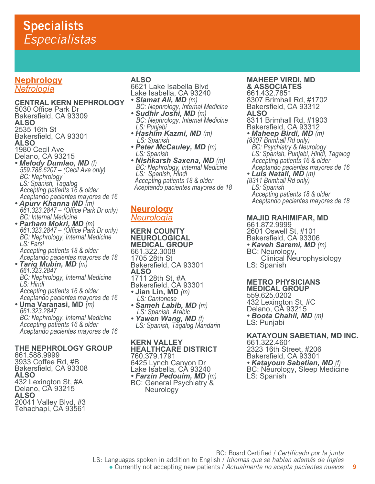## **Nephrology** *Nefrología*

## **CENTRAL KERN NEPHROLOGY**

- 5030 Office Park Dr Bakersfield, CA 93309 **ALSO** 2535 16th St Bakersfield, CA 93301 **ALSO** 1980 Cecil Ave Delano, CA 93215
- *Melody Dumlao, MD (f) 559.788.6207 (Cecil Ave only) BC: Nephrology LS: Spanish, Tagalog Accepting patients 16 & older Aceptando pacientes mayores de 16*
- *Apurv Khanna MD (m) 661.323.2847 (Office Park Dr only) BC: Internal Medicine*
- *Parham Mokri, MD (m) 661.323.2847 (Office Park Dr only) BC: Nephrology, Internal Medicine LS: Farsi Accepting patients 18 & older Aceptando pacientes mayores de 18 • Tariq Mubin, MD (m) 661.323.2847*

 *BC: Nephrology, Internal Medicine LS: Hindi Accepting patients 16 & older Aceptando pacientes mayores de 16* 

*•* **Uma Varanasi, MD** *(m) 661.323.2847 BC: Nephrology, Internal Medicine Accepting patients 16 & older Aceptando pacientes mayores de 16*

## **THE NEPHROLOGY GROUP**

661.588.9999 3933 Coffee Rd, #B Bakersfield, CA 93308 **ALSO** 432 Lexington St, #A Delano, CA 93215 **ALSO** 20041 Valley Blvd, #3 Tehachapi, CA 93561

### **ALSO**

- 6621 Lake Isabella Blvd Lake Isabella, CA 93240<br>• Slamat Ali, MD (m)
- *BC: Nephrology, Internal Medicine*<br> **Sudhir Joshi, MD** (m)
- *Sudhir Joshi, MD (m) BC: Nephrology, Internal Medicine LS: Punjabi*
- *Hashim Kazmi, MD (m)**LS: Spanish*
- *Peter McCauley, MD (m) LS: Spanish*
- *Nishkarsh Saxena, MD (m) BC: Nephrology, Internal Medicine LS: Spanish, Hindi Accepting patients 18 & older Aceptando pacientes mayores de 18*

## **Neurology** *Neurología*

**KERN COUNTY NEUROLOGICAL MEDICAL GROUP** 661.322.3008 1705 28th St Bakersfield, CA 93301 **ALSO** 1711 28th St, #A Bakersfield, CA 93301 *•* **Jian Lin, MD** *(m) LS: Cantonese • Sameh Labib, MD (m)**LS: Spanish, Arabic*

*<i>LS: Spanish, Tagalog Mandarin* 

**KERN VALLEY HEALTHCARE DISTRICT** 760.379.1791 6425 Lynch Canyon Dr Lake Isabella, CÀ 93240<br>• *Farzin Pedouim, MD (m)* **BC: General Psychiatry &** Neurology

#### **MAHEEP VIRDI, MD & ASSOCIATES**

661.432.7851 8307 Brimhall Rd, #1702 Bakersfield, CA 93312 **ALSO**

8311 Brimhall Rd, #1903

- Bakersfield, CA 93312<br>• *Maheep Birdi, MD (m)*
- *Maheep Birdi, MD (m) (8307 Brimhall Rd only) BC: Psychiatry & Neurology LS: Spanish, Punjabi, Hindi, Tagalog Accepting patients 16 & older Aceptando pacientes mayores de 16*
- *Luis Natali, MD (m) (8311 Brimhall Rd only)*

 *LS: Spanish Accepting patients 18 & older Aceptando pacientes mayores de 18*

### **MAJID RAHIMIFAR, MD**

661.872.9999 2601 Oswell St, #101 Bakersfield, CA 93306 *• Kaveh Saremi, MD (m)* BC: Neurology, Clinical Neurophysiology LS: Spanish

## **METRO PHYSICIANS**

**MEDICAL GROUP** 559.625.0202 432 Lexington St, #C Delano, CA 93215 *• Boota Chahil, MD (m)* LS: Punjabi

## **KATAYOUN SABETIAN, MD INC.**

661.322.4601 2323 16th Street, #206 Bakersfield, CA 93301 *• Katayoun Sabetian, MD (f)* BC: Neurology, Sleep Medicine LS: Spanish

**9**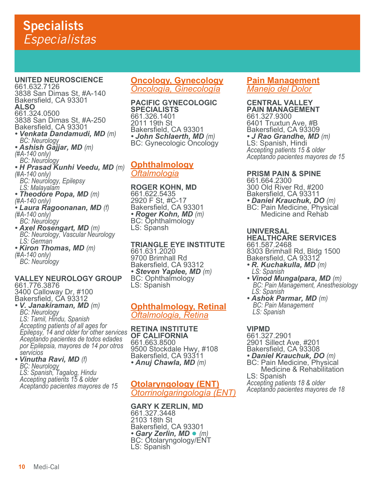**UNITED NEUROSCIENCE** 661.632.7126 3838 San Dimas St, #A-140 Bakersfield, CA 93301 **ALSO** 661.324.0500 3838 San Dimas St, #A-250 Bakersfield, CA 93301 *• Venkata Dandamudi, MD (m) BC: Neurology • Ashish Gajjar, MD (m) (#A-140 only) BC: Neurology • H Prasad Kunhi Veedu, MD (m) (#A-140 only) BC: Neurology, Epilepsy LS: Malayalam • Theodore Popa, MD (m) (#A-140 only) • Laura Ragoonanan, MD (f) (#A-140 only)* ` *BC: Neurology*<br>• **Axel Rosengart, MD** (m) *• Axel Rosengart, MD (m) BC: Neurology, Vascular Neurology LS: German • Kiron Thomas, MD (m) (#A-140 only) BC: Neurology*

#### **VALLEY NEUROLOGY GROUP** 661.776.3876

3400 Calloway Dr, #100 Bakersfield, CA 93312<br>• V. Janakiraman, MD (m)

*• V. Janakiraman, MD (m) BC: Neurology LS: Tamil, Hindu, Spanish Accepting patients of all ages for Epilepsy, 14 and older for other services Aceptando pacientes de todos edades por Epilepsia, mayores de 14 por otros servicios*

*• Vinutha Ravi, MD (f) BC: Neurology LS: Spanish, Tagalog, Hindu Accepting patients 15 & older Aceptando pacientes mayores de 15*

### **Oncology, Gynecology** *Oncología, Ginecología*

**PACIFIC GYNECOLOGIC SPECIALISTS** 661.326.1401 2011 19th St Bakersfield, CA 93301<br>• John Schlaerth, MD (m) **BC: Gynecologic Oncology** 

## **Ophthalmology** *Oftalmologia*

**ROGER KOHN, MD** 661.622.5435 2920 F St, #C-17 Bakersfield, CA 93301<br>• *Roger Kohn, MD (m)* **BC: Ophthalmology** LS: Spansh

## **TRIANGLE EYE INSTITUTE**

661.631.2020 9700 Brimhall Rd Bakersfield, CA 93312 • **Steven Yaplee, MD** (m)<br>BC: Ophthalmology LS: Spanish

## **Ophthalmology, Retinal** *Oftalmologia, Retina*

**RETINA INSTITUTE OF CALIFORNIA** 661.663.8500 9500 Stockdale Hwy, #108 Bakersfield, CA 93311 *• Anuj Chawla, MD (m)*

## **Otolaryngology (ENT)** *Otorrinolgaringología (ENT)*

**GARY K ZERLIN, MD** 661.327.3448 2103 18th St Bakersfield, CA 93301 *• Gary Zerlin, MD* ● *(m)* BC: Otolaryngology/ENT LS: Spanish

## **Pain Management** *Manejo del Dolor*

**CENTRAL VALLEY PAIN MANAGEMENT** 661.327.9300 6401 Truxtun Ave, #B Bakersfield, CA 93309 *• J Rao Grandhe, MD (m)* LS: Spanish, Hindi *Accepting patients 15 & older Aceptando pacientes mayores de 15*

## **PRISM PAIN & SPINE**

661.664.2300 300 Old River Rd, #200 Bakersfield, CA 93311<br>• **Daniel Krauchuk, DO** (m) *• Daniel Krauchuk, DO (m)* BC: Pain Medicine, Physical Medicine and Rehab

## **UNIVERSAL**

**HEALTHCARE SERVICES** 661.587.2468 8303 Brimhall Rd, Bldg 1500 Bakersfield, CA 93312

- *R. Kuchakulla, MD (m) LS: Spanish*
- *Vinod Mungalpara, MD (m)**BC: Pain Management, Anesthesiology LS: Spanish*
- *Ashok Parmar, MD (m)**BC: Pain Management LS: Spanish*

**VIPMD** 661.327.2901 2901 Sillect Ave, #201 Bakersfield, CA 93308<br>• **Daniel Krauchuk, DO** (m) *• Daniel Krauchuk, DO (m)* BC: Pain Medicine, Physical Medicine & Rehabilitation LS: Spanish *Accepting patients 18 & older Aceptando pacientes mayores de 18*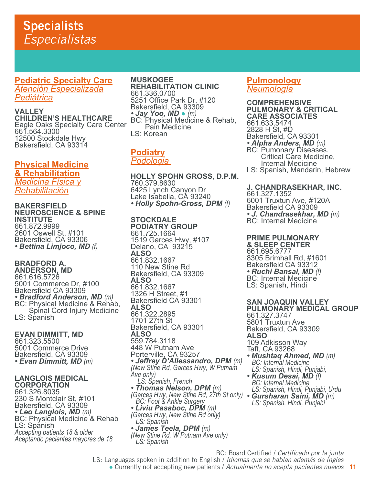**Pediatric Specialty Care**

*Atención Especializada Pediátrica*

**VALLEY CHILDREN'S HEALTHCARE** Eagle Oaks Specialty Care Center 661.564.3300 12500 Stockdale Hwy Bakersfield, CA 93314

## **Physical Medicine & Rehabilitation** *Medicina Física y Rehabilitación*

**BAKERSFIELD NEUROSCIENCE & SPINE INSTITUTE** 661.872.9999 2601 Oswell St, #101 Bakersfield, CA 93306 *• Bettina Limjoco, MD (f)* 

#### **BRADFORD A. ANDERSON, MD**

661.616.5726 5001 Commerce Dr, #100 Bakersfield CA 93309 *• Bradford Anderson, MD (m)* BC: Physical Medicine & Rehab, Spinal Cord Injury Medicine LS: Spanish

**EVAN DIMMITT, MD** 661.323.5500 5001 Commerce Drive Bakersfield, CA 93309 *• Evan Dimmitt, MD (m)* 

## **LANGLOIS MEDICAL CORPORATION**

661.326.8035 230 S Montclair St, #101 Bakersfield, CA 93309<br>• Leo Langlois, MD (m) *• Leo Langlois, MD (m)* BC: Physical Medicine & Rehab LS: Spánish *Accepting patients 18 & older Aceptando pacientes mayores de 18* 

### **MUSKOGEE REHABILITATION CLINIC** 661.336.0700 5251 Office Park Dr, #120 Bakersfield, CA 93309 • **Jay Yoo, MD** • (*m*)<br>BC: Physical Medicine & Rehab,

 Pain Medicine LS: Korean

### **Podiatry** *Podologia*

**HOLLY SPOHN GROSS, D.P.M.** 760.379.8630 6425 Lynch Canyon Dr Lake Isabella, CA 93240 *• Holly Spohn-Gross, DPM (f)*

**STOCKDALE PODIATRY GROUP** 661.725.1664 1519 Garces Hwy, #107 Delano, CA 93215 **ALSO** 661.832.1667 110 New Stine Rd Bakersfield, CA 93309 **ALSO** 661.832.1667 1326 H Street, #1 Bakersfield CA 93301 **ALSO** 661.322.2895 1701 27th St Bakersfield, CA 93301 **ALSO** 559.784.3118 448 W Putnam Ave Porterville, CA 93257 *• Jeffrey D'Allessandro, DPM (m) (New Stine Rd, Garces Hwy, W Putnam Ave only) LS: Spanish, French • Thomas Nelson, DPM (m) (Garces Hwy, New Stine Rd, 27th St only) BC: Foot & Ankle Surgery • Gursharan Saini, MD (m) LS: Spanish, Hindi, Punjabi• Liviu Pasaboc, DPM (m) (Garces Hwy, New Stine Rd only) LS: Spanish • James Teela, DPM (m) (New Stine Rd, W Putnam Ave only) LS: Spanish*

## **Pulmonology** *Neumología*

**COMPREHENSIVE PULMONARY & CRITICAL CARE ASSOCIATES** 661.633.5474 2828 H St, #D Bakersfield, CA 93301<br>• *Alpha Anders, MD (m) • Alpha Anders, MD (m)* BC: Pumonary Diseases, Critical Care Medicine, Internal Medicine LS: Spanish, Mandarin, Hebrew

## **J. CHANDRASEKHAR, INC.**

661.327.1352 6001 Truxtun Ave, #120A Bakersfield CA 93309 *• J. Chandrasekhar, MD (m)* BC: Internal Medicine

## **PRIME PULMONARY**

**& SLEEP CENTER** 661.695.6777 8305 Brimhall Rd, #1601 Bakersfield CA 93312 *• Ruchi Bansal, MD (f)* BC: Internal Medicine LS: Spanish, Hindi

#### **SAN JOAQUIN VALLEY PULMONARY MEDICAL GROUP**

661.327.3747 5801 Truxtun Ave Bakersfield, CA 93309 **ALSO** 109 Adkisson Way Taft, CA 93268

- *Mushtaq Ahmed, MD (m) BC: Internal Medicine*
- *LS: Spanish, Hindi, Punjabi, • Kusum Desai, MD (f) BC: Internal Medicine LS: Spanish, Hindi, Punjabi, Urdu*

BC: Board Certified / *Certificado por la junta*

LS: Languages spoken in addition to English / *Idiomas que se hablan además de Ingles*

**11** ● Currently not accepting new patients / *Actualmente no acepta pacientes nuevos*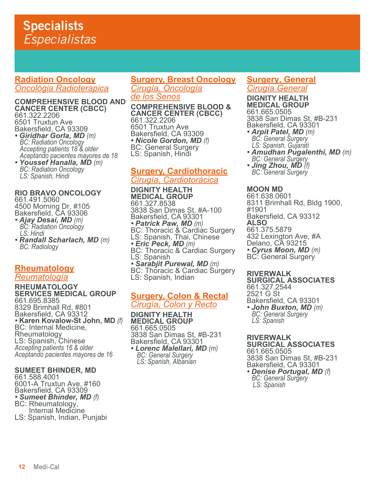## **Radiation Oncology** *Oncológia Radioterapica*

**COMPREHENSIVE BLOOD AND CANCER CENTER (CBCC)** 661.322.2206 6501 Truxtun Ave Bakersfield, CA 93309

- *Giridhar Gorla, MD (m) BC: Radiation Oncology Accepting patients 18 & older Aceptando pacientes mayores de 18*
- *Youssef Hanalla, MD (m) BC: Radiation Oncology LS: Spanish, Hindi*

#### **RIO BRAVO ONCOLOGY** 661.491.5060 4500 Morning Dr, #105

Bakersfield, CA 93306 *• Ajay Desai, MD (m) BC: Radiation Oncology LS: Hindi*

*• Randall Scharlach, MD (m) BC: Radiology*

### **Rheumatology** *Reumatología*

#### **RHEUMATOLOGY SERVICES MEDICAL GROUP** 661.695.8385 8329 Brimhall Rd, #801 Bakersfield, CA 93312 *•* **Karen Kovalow-St John, MD** *(f)* BC: Internal Medicine, Rheumatology LS: Spanish, Chinese *Accepting patients 16 & older Aceptando pacientes mayores de 16*

### **SUMEET BHINDER, MD**

661.588.4001 6001-A Truxtun Ave, #160 Bakersfield, CA 93309 *• Sumeet Bhinder, MD (f)* BC: Rheumatology, Internal Medicine LS: Spanish, Indian, Punjabi

## **Surgery, Breast Oncology** *Cirugía, Oncología de los Senos*

**COMPREHENSIVE BLOOD & CANCER CENTER (CBCC)** 661.322.2206

6501 Truxtun Ave Bakersfield, CA 93309<br>• Nicole Gordon, MD (f) **BC: General Surgery LS: Spanish, Hindi** 

## **Surgery, Cardiothoracic** *Cirugía, Cardiotorácica*

**DIGNITY HEALTH MEDICAL GROUP** 661.327.8538 3838 San Dimas St, #A-100 Bakersfield, CA 93301<br>• Patrick Paw, MD (m) *BC: Thoracic & Cardiac Surgery<br>LS: Spanish, Thai, Chinese<br><i>• Eric Peck, MD (m)* BC: Thoracic & Caŕdiac Surgery<br>LS: Spanish<br>**• Sarabjit Purewal, MD** (m) *BC: Thoracic & Cardiac Surgery*<br>LS: Spanish, Indian

## **Surgery, Colon & Rectal** *Cirugía, Colon y Recto*

**DIGNITY HEALTH MEDICAL GROUP** 661.665.0505 3838 San Dimas St, #B-231 Bakersfield, CA 93301 *• Lorenc Malellari, MD (m)**BC: General Surgery* *LS: Spanish, Albanian*

## **Surgery, General** *Cirugía General*

**DIGNITY HEALTH MEDICAL GROUP** 661.665.0505 3838 San Dimas St, #B-231

- Bakersfield, CA 93301 *• Arpit Patel, MD (m) BC: General Surgery*
- *LS: Spanish, Gujarati • Amudhan Pugalenthi, MD (m) BC: General Surgery*
- *Jing Zhou, MD (f) BC: General Surgery*

## **MOON MD**

661.638.0601 8311 Brimhall Rd, Bldg 1900, #1901 Bakersfield, CA 93312 **ALSO** 661.375.5879 432 Lexington Ave, #A Delano, CA 93215 *• Cyrus Moon, MD (m)* BC: General Surgery

## **RIVERWALK**

**SURGICAL ASSOCIATES** 661.327.2544 2521 G St Bakersfield, CA 93301 *• John Buxton, MD (m) BC: General Surgery LS: Spanish*

**RIVERWALK SURGICAL ASSOCIATES** 661.665.0505 3838 San Dimas St, #B-231 Bakersfield, CA 93301 *• Denise Portugal, MD (f) BC: General Surgery* *LS: Spanish*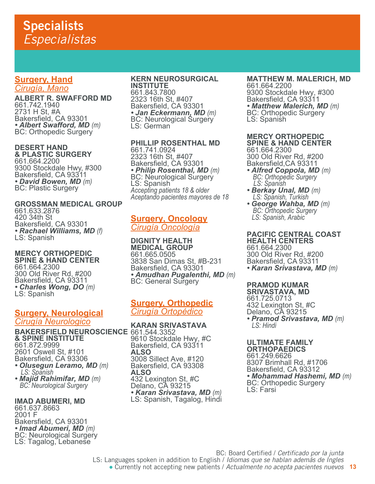## **Surgery, Hand** *Cirugía, Mano*

**ALBERT R. SWAFFORD MD** 661.742.1940 2731 H St, #A Bakersfield, CA 93301<br>• Albert Swafford, MD (m) **BC: Orthopedic Surgery** 

### **DESERT HAND & PLASTIC SURGERY**

661.664.2200 9300 Stockdale Hwy, #300 Bakersfield, CA 93311 *• David Bowen, MD (m)* BC: Plastic Surgery

### **GROSSMAN MEDICAL GROUP** 661.633.2876 420 34th St Bakersfield, CA 93301

*• Rachael Williams, MD (f)* LS: Spanish

#### **MERCY ORTHOPEDIC SPINE & HAND CENTER** 661.664.2300 300 Old River Rd, #200 Bakersfield, CA 93311 *• Charles Wong, DO (m)* LS: Spanish

## **Surgery, Neurological**

*Cirugía Neurologico*

**BAKERSFIELD NEUROSCIENCE**  661.544.3352 **& SPINE INSTITUTE** 661.872.9999 2601 Oswell St, #101 Bakersfield, CA 93306 *• Olusegun Leramo, MD (m)**LS: Spanish*

*• Majid Rahimifar, MD (m) BC: Neurological Surgery*

### **IMAD ABUMERI, MD**

661.637.8663 2001 F Bakersfield, CA 93301<br>• Imad Abumeri, MD (m) *• Imad Abumeri, MD (m)* BC: Neurological Surgery LS: Tagalog, Lebanese

### **KERN NEUROSURGICAL**

**INSTITUTE** 661.843.7800 2323 16th St, #407 Bakersfield, CA 93301 *• Jan Eckermann, MD (m)* BC: Neurological Surgery LS: German

## **PHILLIP ROSENTHAL MD**

661.741.0924 2323 16th St, #407 Bakersfield, CA 93301<br>• *Philip Rosenthal, MD (m)* **BC: Neurological Surgery** LS: Spanish *Accepting patients 18 & older Aceptando pacientes mayores de 18*

## **Surgery, Oncology** *Cirugía Oncología*

**DIGNITY HEALTH MEDICAL GROUP** 661.665.0505 3838 San Dimas St, #B-231 Bakersfield, CA 93301 **• Amudhan Pugalenthi, MD** (m)<br>BC: General Surgery

## **Surgery, Orthopedic** *Cirugía Ortopédico*

**KARAN SRIVASTAVA** 9610 Stockdale Hwy, #C Bakersfield, CA 93311 **ALSO**  3008 Sillect Ave, #120 Bakersfield, CA 93308 **ALSO**  432 Lexington St, #C Delano, CA 93215 *• Karan Srivastava, MD (m)* LS: Spanish, Tagalog, Hindi

**MATTHEW M. MALERICH, MD** 661.664.2200 9300 Stockdale Hwy, #300 Bakersfield, CA 93311 *• Matthew Malerich, MD (m)* BC: Orthopedic Surgery BC: Orthopedic Surgery<br>LS: Spanish

#### **MERCY ORTHOPEDIC SPINE & HAND CENTER** 661.664.2300

300 Old River Rd, #200 Bakersfield,CA 93311

- *Alfred Coppola, MD (m)**BC: Orthopedic Surgery LS: Spanish*
- *Berkay Unal, MD (m)**LS: Spanish, Turkish*
- *George Wahba, MD (m)**BC: Orthopedic Surgery LS: Spanish, Arabic*

#### **PACIFIC CENTRAL COAST HEALTH CENTERS**

661.664.2300 300 Old River Rd, #200 Bakersfield, CA 93311

*• Karan Srivastava, MD (m)*

## **PRAMOD KUMAR**

**SRIVASTAVA, MD** 661.725.0713 432 Lexington St, #C Delano, CA 93215 *• Pramod Srivastava, MD (m) LS: Hindi*

#### **ULTIMATE FAMILY ORTHOPAEDICS**

661.249.6626 8307 Brimhall Rd, #1706 Bakersfield, CA 93312 • Mohammad Hashemi, MD (m) BC: Orthopedic Surgery

BC: Board Certified / *Certificado por la junta* LS: Languages spoken in addition to English / *Idiomas que se hablan además de Ingles*

**13** ● Currently not accepting new patients / *Actualmente no acepta pacientes nuevos*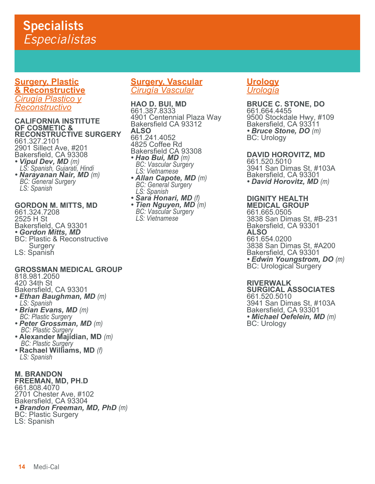**Surgery, Plastic & Reconstructive** *Cirugía Plastico y Reconstructivo*

#### **CALIFORNIA INSTITUTE OF COSMETIC & RECONSTRUCTIVE SURGERY** 661.327.2101 2901 Sillect Ave, #201 Bakersfield, CA 93308 *• Vipul Dev, MD (m) LS: Spanish, Gujarati, Hindi*

*• Narayanan Nair, MD (m) BC: General Surgery LS: Spanish*

## **GORDON M. MITTS, MD**

661.324.7208 2525 H St Bakersfield, CA 93301 *• Gordon Mitts, MD* BC: Plastic & Reconstructive **Surgery** LS: Spanish

## **GROSSMAN MEDICAL GROUP**

818.981.2050

420 34th St

- Bakersfield, CA 93301 *• Ethan Baughman, MD (m) LS: Spanish*
- *Brian Evans, MD (m) BC: Plastic Surgery*
- *Peter Grossman, MD (m)**BC: Plastic Surgery*
- **Alexander Majidian, MD** *(m)**BC: Plastic Surgery*
- **Rachael Williams, MD** *(f) LS: Spanish*

**M. BRANDON FREEMAN, MD, PH.D** 661.808.4070 2701 Chester Ave, #102 Bakersfield, CA 93304 *• Brandon Freeman, MD, PhD (m)* BC: Plastic Surgery LS: Spanish

## **Surgery, Vascular** *Cirugía Vascular*

**HAO D. BUI, MD** 661.387.8333 4901 Centennial Plaza Way Bakersfield CA 93312 **ALSO** 661.241.4052 4825 Coffee Rd Bakersfield CA 93308<br>• Hao Bui, MD (m) *• Hao Bui, MD (m) BC: Vascular Surgery LS: Vietnamese*

- *Allan Capote, MD (m) BC: General Surgery LS: Spanish*
- *Sara Honari, MD (f) Tien Nguyen, MD (m) BC: Vascular Surgery LS: Vietnamese*

## **Urology** *Urología*

## **BRUCE C. STONE, DO**

661.664.4455 9500 Stockdale Hwy, #109 Bakersfield, CA 93311 *• Bruce Stone, DO (m)* BC: Urology

## **DAVID HOROVITZ, MD**

661.520.5010 3941 San Dimas St, #103A Bakersfield, CA 93301 *• David Horovitz, MD (m)*

## **DIGNITY HEALTH**

**MEDICAL GROUP** 661.665.0505 3838 San Dimas St, #B-231 Bakersfield, CA 93301 **ALSO** 661.654.0200 3838 San Dimas St, #A200 Bakersfield, CA 93301 *• Edwin Youngstrom, DO (m)* BC: Urological Surgery

## **RIVERWALK**

**SURGICAL ASSOCIATES** 661.520.5010 3941 San Dimas St, #103A Bakersfield, CA 93301 *• Michael Oefelein, MD (m)* BC: Urology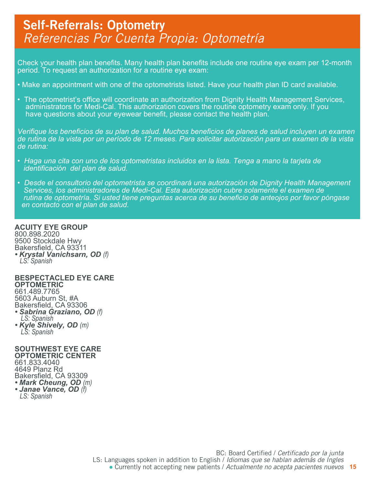## Self-Referrals: Optometry *Referencias Por Cuenta Propia: Optometría*

Check your health plan benefits. Many health plan benefits include one routine eye exam per 12-month period. To request an authorization for a routine eye exam:

- Make an appointment with one of the optometrists listed. Have your health plan ID card available.
- The optometrist's office will coordinate an authorization from Dignity Health Management Services, administrators for Medi-Cal. This authorization covers the routine optometry exam only. If you have questions about your eyewear benefit, please contact the health plan.

*Verifique los beneficios de su plan de salud. Muchos beneficios de planes de salud incluyen un examen de rutina de la vista por un período de 12 meses. Para solicitar autorización para un examen de la vista de rutina:*

- *Haga una cita con uno de los optometristas incluidos en la lista. Tenga a mano la tarjeta de identificación del plan de salud.*
- *Desde el consultorio del optometrista se coordinará una autorización de Dignity Health Management Services, los administradores de Medi-Cal. Esta autorización cubre solamente el examen de rutina de optometría. Si usted tiene preguntas acerca de su beneficio de anteojos por favor póngase en contacto con el plan de salud.*

#### **ACUITY EYE GROUP**

800.898.2020 9500 Stockdale Hwy Bakersfield, CA 93311 *• Krystal Vanichsarn, OD (f) LS: Spanish* 

#### **BESPECTACLED EYE CARE OPTOMETRIC**

661.489.7765 5603 Auburn St, #A Bakersfield, CA 93306 *• Sabrina Graziano, OD (f) LS: Spanish • Kyle Shively, OD (m) LS: Spanish* 

### **SOUTHWEST EYE CARE OPTOMETRIC CENTER**

661.833.4040 4649 Planz Rd Bakersfield, CA 93309 *• Mark Cheung, OD (m) • Janae Vance, OD (f) LS: Spanish*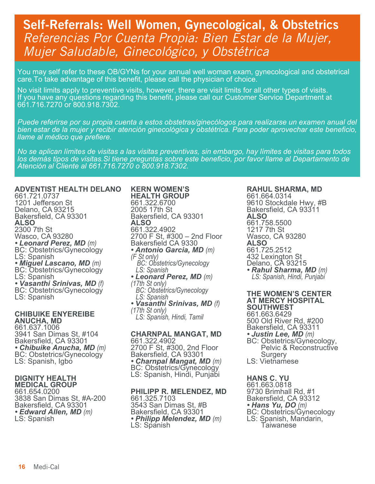## Self-Referrals: Well Women, Gynecological, & Obstetrics *Referencias Por Cuenta Propia: Bien Estar de la Mujer, Mujer Saludable, Ginecológico, y Obstétrica*

You may self refer to these OB/GYNs for your annual well woman exam, gynecological and obstetrical care.To take advantage of this benefit, please call the physician of choice.

No visit limits apply to preventive visits, however, there are visit limits for all other types of visits. If you have any questions regarding this benefit, please call our Customer Service Department at 661.716.7270 or 800.918.7302.

*Puede referirse por su propia cuenta a estos obstetras/ginecólogos para realizarse un examen anual del bien estar de la mujer y recibir atención ginecológica y obstétrica. Para poder aprovechar este beneficio, llame al médico que prefiere.*

*No se aplican límites de visitas a las visitas preventivas, sin embargo, hay límites de visitas para todos los demás tipos de visitas.Si tiene preguntas sobre este beneficio, por favor llame al Departamento de Atención al Cliente al 661.716.7270 o 800.918.7302.*

### **ADVENTIST HEALTH DELANO**

661.721.0737 1201 Jefferson St Delano, CA 93215 Bakersfield, CA 93301 **ALSO** 2300 7th St Wasco, CA 93280<br>• Leonard Perez, MD (m) **BC: Obstetrics/Gynecology** LS: Spanish<br>• Miguel Lascano, MD (m) *• Miguel Lascano, MD (m)* BC: Obstetrics/Gynecology LS: Spanish *• Vasanthi Srinivas, MD (f)* BC: Obstetrics/Gynecology LS: Spanish

#### **CHIBUIKE ENYEREIBE ANUCHA, MD**

661.637.1006 3941 San Dimas St, #104 Bakersfield, CA 93301<br>• Chibuike Anucha, MD (m) *• Chibuike Anucha, MD (m)* BC: Obstetrics/Gynecology LS: Spanish, Igbo

#### **DIGNITY HEALTH MEDICAL GROUP**

661.654.0200 3838 San Dimas St, #A-200 Bakersfield, CA 93301 *• Edward Allen, MD (m)* LS: Spanish

**KERN WOMEN'S HEALTH GROUP** 661.322.6700 2005 17th St Bakersfield, CA 93301 **ALSO** 661.322.4902 2700 F St, #300 – 2nd Floor Bakersfield CA 9330 *• Antonio Garcia, MD (m) (F St only)* *BC: Obstetrics/Gynecology LS: Spanish • Leonard Perez, MD (m) (17th St only) BC: Obstetrics/Gynecology LS: Spanish • Vasanthi Srinivas, MD (f) (17th St only)*

 *LS: Spanish, Hindi, Tamil*

## **CHARNPAL MANGAT, MD**

661.322.4902 2700 F St, #300, 2nd Floor Bakersfield, CA 93301 *• Charnpal Mangat, MD (m)* BC: Obstetrics/Gynecology LS: Spanish, Hindi, Punjabi

## **PHILIPP R. MELENDEZ, MD**

661.325.7103 3543 San Dimas St, #B Bakersfield, CA 93301 *• Philipp Melendez, MD (m)* LS: Spanish

#### **RAHUL SHARMA, MD** 661.664.0314 9610 Stockdale Hwy, #B Bakersfield, CA 93311 **ALSO** 661.758.5500 1217 7th St Wasco, CA 93280 **ALSO** 661.725.2512 432 Lexington St Delano, CA 93215<br>• Rahul Sharma, MD (m)

*• Rahul Sharma, MD (m) LS: Spanish, Hindi, Punjabi*

#### **THE WOMEN'S CENTER AT MERCY HOSPITAL SOUTHWEST** 661.663.6429 500 Old River Rd, #200

Bakersfield, CA 93311<br>• Justin Lee, MD (m) **BC: Obstetrics/Gynecology,**  Pelvic & Reconstructive Surgery

LS: Vietnamese

## **HANS C. YU**

661.663.0818 9730 Brimhall Rd, #1 Bakersfield, CA 93312<br>• Hans Yu, DO (m) **BC: Obstetrics/Gynecology** LS: Spanish, Mandarin, **Taiwanese**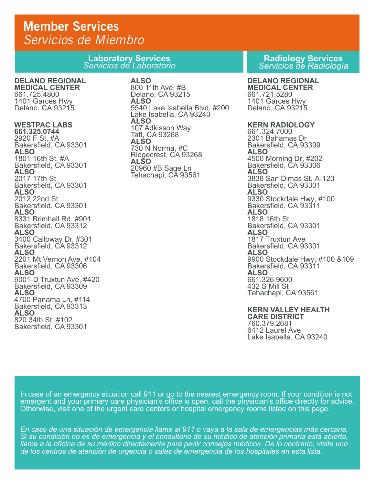## Member Services *Servicios de Miembro*

**Laboratory Services** *Servicios de Laboratorio*

## **DELANO REGIONAL**

**MEDICAL CENTER** 661.725.4800 1401 Garces Hwy Delano, CA 93215

### **WESTPAC LABS**

**661.325.0744** 2920 F St, #A Bakersfield, CA 93301 **ALSO** 1801 16th St, #A Bakersfield, CA 93301 **ALSO** 2017 17th St Bakersfield, CA 93301 **ALSO** 2012 22nd St Bakersfield, CA 93301 **ALSO** 8331 Brimhall Rd, #901 Bakersfield, CA 93312 **ALSO** 3400 Calloway Dr, #301 Bakersfield, CA 93312 **ALSO** 2201 Mt Vernon Ave, #104 Bakersfield, CA 93306 **ALSO** 6001-D Truxtun Ave, #420 Bakersfield, CA 93309 **ALSO** 4700 Panama Ln, #114 Bakersfield, CA 93313 **ALSO** 820 34th St, #102 Bakersfield, CA 93301

## **ALSO**

800 11th Ave, #B Delano, CA 93215 **ALSO** 5540 Lake Isabella Blvd, #200 Lake Isabella, CA 93240 **ALSO** 107 Adkisson Way Taft, CA 93268 **ALSO** 730 N Norma, #C Ridgecrest, CA 93268 **ALSO** 20960 #B Sage Ln Tehachapi, CA 93561

### **Radiology Services**  *Servicios de Radiología*

## **DELANO REGIONAL**

**MEDICAL CENTER** 661.721.5280 1401 Garces Hwy Delano, CA 93215

#### **KERN RADIOLOGY**

661.324.7000 2301 Bahamas Dr Bakersfield, CA 93309 **ALSO** 4500 Morning Dr, #202 Bakersfield, CA 93306 **ALSO** 3838 San Dimas St, A-120 Bakersfield, CA 93301 **ALSO** 9330 Stockdale Hwy, #100 Bakersfield, CA 93311 **ALSO** 1818 16th St Bakersfield, CA 93301 **ALSO** 1817 Truxtun Ave Bakersfield, CA 93301 **ALSO** 9900 Stockdale Hwy, #100 &109 Bakersfield, CA 93311 **ALSO** 661.326.9600 432 S Mill St Tehachapi, CA 93561

#### **KERN VALLEY HEALTH CARE DISTRICT** 760.379.2681 6412 Laurel Ave Lake Isabella, CA 93240

In case of an emergency situation call 911 or go to the nearest emergency room. If your condition is not emergent and your primary care physician's office is open, call the physician's office directly for advice. Otherwise, visit one of the urgent care centers or hospital emergency rooms listed on this page.

*En caso de una situación de emergencia llame al 911 o vaya a la sala de emergencias más cercana. Si su condición no es de emergencia y el consultorio de su médico de atención primaria está abierto, llame a la oficina de su médico directamente para pedir consejos médicos. De lo contrario, visite uno de los centros de atención de urgencia o salas de emergencia de los hospitales en esta lista.*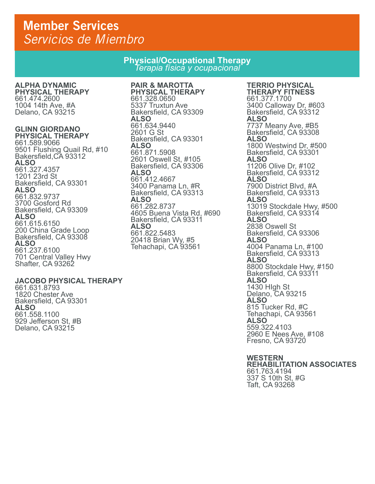## Member Services *Servicios de Miembro*

## **Physical/Occupational Therapy** *Terapia física y ocupacional*

#### **ALPHA DYNAMIC PHYSICAL THERAPY**

661.474.2600 1004 14th Ave, #A Delano, CA 93215

## **GLINN GIORDANO**

**PHYSICAL THERAPY**  661.589.9066 9501 Flushing Quail Rd, #10 Bakersfield,CA 93312 **ALSO** 661.327.4357 1201 23rd St Bakersfield, CA 93301 **ALSO** 661.832.9737 3700 Gosford Rd Bakersfield, CA 93309 **ALSO** 661.615.6150 200 China Grade Loop Bakersfield, CA 93308 **ALSO** 661.237.6100 701 Central Valley Hwy Shafter, CA 93262

### **JACOBO PHYSICAL THERAPY**

661.631.8793 1820 Chester Ave Bakersfield, CA 93301 **ALSO** 661.558.1100 929 Jefferson St, #B Delano, CA 93215

**PAIR & MAROTTA PHYSICAL THERAPY** 661.328.0650 5337 Truxtun Ave Bakersfield, CA 93309 **ALSO** 661.634.9440 2601 G St Bakersfield, CA 93301 **ALSO** 661.871.5908 2601 Oswell St, #105 Bakersfield, CA 93306 **ALSO** 661.412.4667 3400 Panama Ln, #R Bakersfield, CA 93313 **ALSO** 661.282.8737 4605 Buena Vista Rd, #690 Bakersfield, CA 93311 **ALSO** 661.822.5483 20418 Brian Wy, #5 Tehachapi, CA 93561

#### **TERRIO PHYSICAL THERAPY FITNESS** 661.377.1700 3400 Calloway Dr, #603 Bakersfield, CA 93312 **ALSO** 7737 Meany Ave, #B5 Bakersfield, CA 93308 **ALSO** 1800 Westwind Dr, #500 Bakersfield, CA 93301 **ALSO** 11206 Olive Dr, #102 Bakersfield, CA 93312 **ALSO** 7900 District Blvd, #A Bakersfield, CA 93313 **ALSO** 13019 Stockdale Hwy, #500 Bakersfield, CA 93314

**ALSO** 2838 Oswell St Bakersfield, CA 93306 **ALSO** 4004 Panama Ln, #100 Bakersfield, CA 93313 **ALSO** 8800 Stockdale Hwy, #150 Bakersfield, CA 93311 **ALSO** 1430 HIgh St Delano, CA 93215 **ALSO** 815 Tucker Rd, #C Tehachapi, CA 93561 **ALSO**  559.322.4103 2960 E Nees Ave, #108 Fresno, CA 93720

**WESTERN REHABILITATION ASSOCIATES** 661.763.4194 337 S 10th St, #G Taft, CA 93268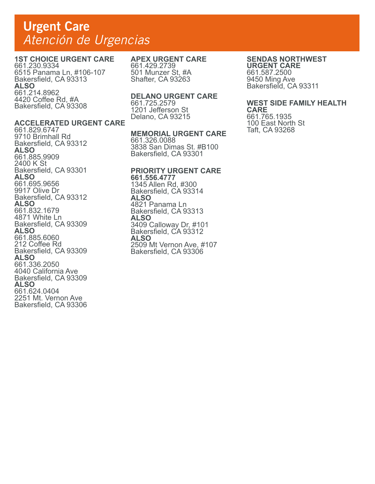## Urgent Care *Atención de Urgencias*

## **1ST CHOICE URGENT CARE**

**ACCELERATED URGENT CARE** 

661.230.9334 6515 Panama Ln, #106-107 Bakersfield, CA 93313 **ALSO** 661.214.8962 4420 Coffee Rd, #A Bakersfield, CA 93308

661.829.6747 9710 Brimhall Rd Bakersfield, CA 93312

661.885.9909

**ALSO**

## **APEX URGENT CARE**

661.429.2739 501 Munzer St, #A Shafter, CA 93263

### **DELANO URGENT CARE**

661.725.2579 1201 Jefferson St Delano, CA 93215

#### **MEMORIAL URGENT CARE**

661.326.0088 3838 San Dimas St. #B100 Bakersfield, CA 93301

#### **PRIORITY URGENT CARE 661.556.4777**  1345 Allen Rd, #300 Bakersfield, CA 93314 **ALSO** 4821 Panama Ln Bakersfield, CA 93313 **ALSO** 3409 Calloway Dr, #101 Bakersfield, CA 93312 **ALSO** 2509 Mt Vernon Ave, #107 Bakersfield, CA 93306

## **SENDAS NORTHWEST**

**URGENT CARE** 661.587.2500 9450 Ming Ave Bakersfield, CA 93311

## **WEST SIDE FAMILY HEALTH**

**CARE** 661.765.1935 100 East North St Taft, CA 93268

#### 2400 K St Bakersfield, CA 93301 **ALSO** 661.695.9656 9917 Olive Dr Bakersfield, CA 93312 **ALSO** 661.832.1679 4871 White Ln Bakersfield, CA 93309 **ALSO** 661.885.6060 212 Coffee Rd Bakersfield, CA 93309 **ALSO** 661.336.2050 4040 California Ave Bakersfield, CA 93309 **ALSO** 661.624.0404 2251 Mt. Vernon Ave Bakersfield, CA 93306